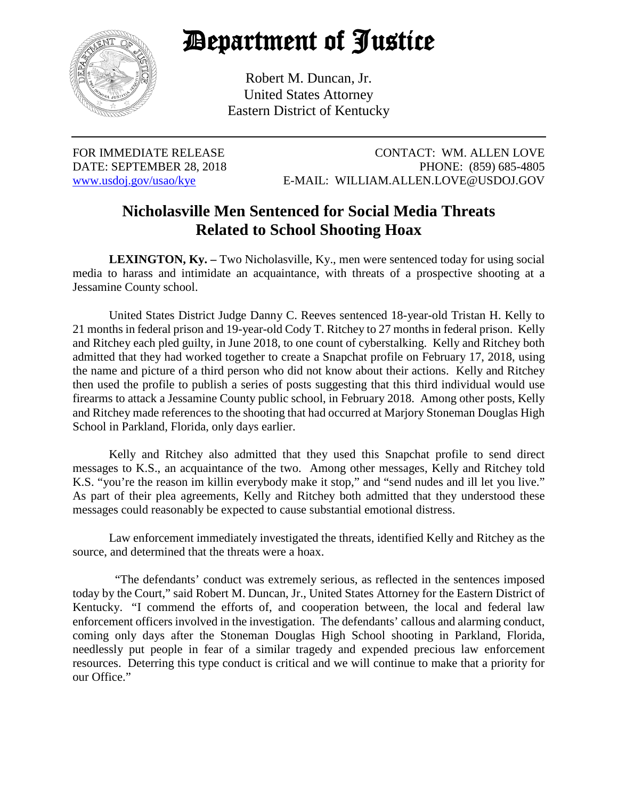

## Department of Justice

Robert M. Duncan, Jr. United States Attorney Eastern District of Kentucky

FOR IMMEDIATE RELEASE CONTACT: WM. ALLEN LOVE DATE: SEPTEMBER 28, 2018 PHONE: (859) 685-4805 [www.usdoj.gov/usao/kye](http://www.usdoj.gov/usao/kye) E-MAIL: WILLIAM.ALLEN.LOVE@USDOJ.GOV

## **Nicholasville Men Sentenced for Social Media Threats Related to School Shooting Hoax**

**LEXINGTON, Ky.** – Two Nicholasville, Ky., men were sentenced today for using social media to harass and intimidate an acquaintance, with threats of a prospective shooting at a Jessamine County school.

United States District Judge Danny C. Reeves sentenced 18-year-old Tristan H. Kelly to 21 months in federal prison and 19-year-old Cody T. Ritchey to 27 months in federal prison. Kelly and Ritchey each pled guilty, in June 2018, to one count of cyberstalking. Kelly and Ritchey both admitted that they had worked together to create a Snapchat profile on February 17, 2018, using the name and picture of a third person who did not know about their actions. Kelly and Ritchey then used the profile to publish a series of posts suggesting that this third individual would use firearms to attack a Jessamine County public school, in February 2018. Among other posts, Kelly and Ritchey made references to the shooting that had occurred at Marjory Stoneman Douglas High School in Parkland, Florida, only days earlier.

Kelly and Ritchey also admitted that they used this Snapchat profile to send direct messages to K.S., an acquaintance of the two. Among other messages, Kelly and Ritchey told K.S. "you're the reason im killin everybody make it stop," and "send nudes and ill let you live." As part of their plea agreements, Kelly and Ritchey both admitted that they understood these messages could reasonably be expected to cause substantial emotional distress.

Law enforcement immediately investigated the threats, identified Kelly and Ritchey as the source, and determined that the threats were a hoax.

 "The defendants' conduct was extremely serious, as reflected in the sentences imposed today by the Court," said Robert M. Duncan, Jr., United States Attorney for the Eastern District of Kentucky. "I commend the efforts of, and cooperation between, the local and federal law enforcement officers involved in the investigation. The defendants' callous and alarming conduct, coming only days after the Stoneman Douglas High School shooting in Parkland, Florida, needlessly put people in fear of a similar tragedy and expended precious law enforcement resources. Deterring this type conduct is critical and we will continue to make that a priority for our Office."